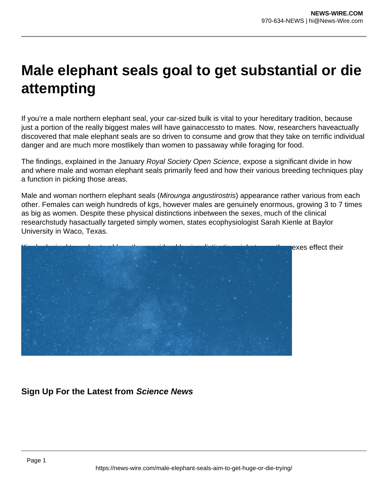## **Male elephant seals goal to get substantial or die attempting**

If you're a male northern elephant seal, your car-sized bulk is vital to your hereditary tradition, because just a portion of the really biggest males will have gainaccessto to mates. Now, researchers haveactually discovered that male elephant seals are so driven to consume and grow that they take on terrific individual danger and are much more mostlikely than women to passaway while foraging for food.

The findings, explained in the January Royal Society Open Science, expose a significant divide in how and where male and woman elephant seals primarily feed and how their various breeding techniques play a function in picking those areas.

Male and woman northern elephant seals (Mirounga angustirostris) appearance rather various from each other. Females can weigh hundreds of kgs, however males are genuinely enormous, growing 3 to 7 times as big as women. Despite these physical distinctions inbetween the sexes, much of the clinical researchstudy hasactually targeted simply women, states ecophysiologist Sarah Kienle at Baylor University in Waco, Texas.



## exes effect their

## **Sign Up For the Latest from Science News**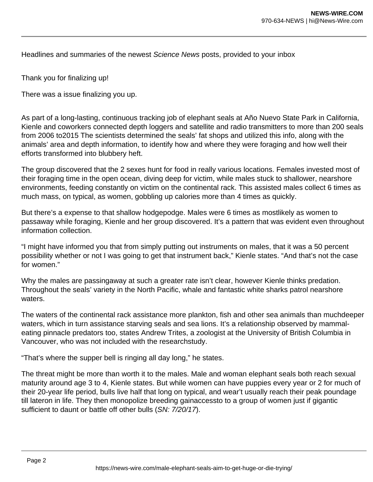Headlines and summaries of the newest Science News posts, provided to your inbox

Thank you for finalizing up!

There was a issue finalizing you up.

As part of a long-lasting, continuous tracking job of elephant seals at Año Nuevo State Park in California, Kienle and coworkers connected depth loggers and satellite and radio transmitters to more than 200 seals from 2006 to2015 The scientists determined the seals' fat shops and utilized this info, along with the animals' area and depth information, to identify how and where they were foraging and how well their efforts transformed into blubbery heft.

The group discovered that the 2 sexes hunt for food in really various locations. Females invested most of their foraging time in the open ocean, diving deep for victim, while males stuck to shallower, nearshore environments, feeding constantly on victim on the continental rack. This assisted males collect 6 times as much mass, on typical, as women, gobbling up calories more than 4 times as quickly.

But there's a expense to that shallow hodgepodge. Males were 6 times as mostlikely as women to passaway while foraging, Kienle and her group discovered. It's a pattern that was evident even throughout information collection.

"I might have informed you that from simply putting out instruments on males, that it was a 50 percent possibility whether or not I was going to get that instrument back," Kienle states. "And that's not the case for women."

Why the males are passingaway at such a greater rate isn't clear, however Kienle thinks predation. Throughout the seals' variety in the North Pacific, whale and fantastic white sharks patrol nearshore waters.

The waters of the continental rack assistance more plankton, fish and other sea animals than muchdeeper waters, which in turn assistance starving seals and sea lions. It's a relationship observed by mammaleating pinnacle predators too, states Andrew Trites, a zoologist at the University of British Columbia in Vancouver, who was not included with the researchstudy.

"That's where the supper bell is ringing all day long," he states.

The threat might be more than worth it to the males. Male and woman elephant seals both reach sexual maturity around age 3 to 4, Kienle states. But while women can have puppies every year or 2 for much of their 20-year life period, bulls live half that long on typical, and wear't usually reach their peak poundage till lateron in life. They then monopolize breeding gainaccessto to a group of women just if gigantic sufficient to daunt or battle off other bulls (SN: 7/20/17).